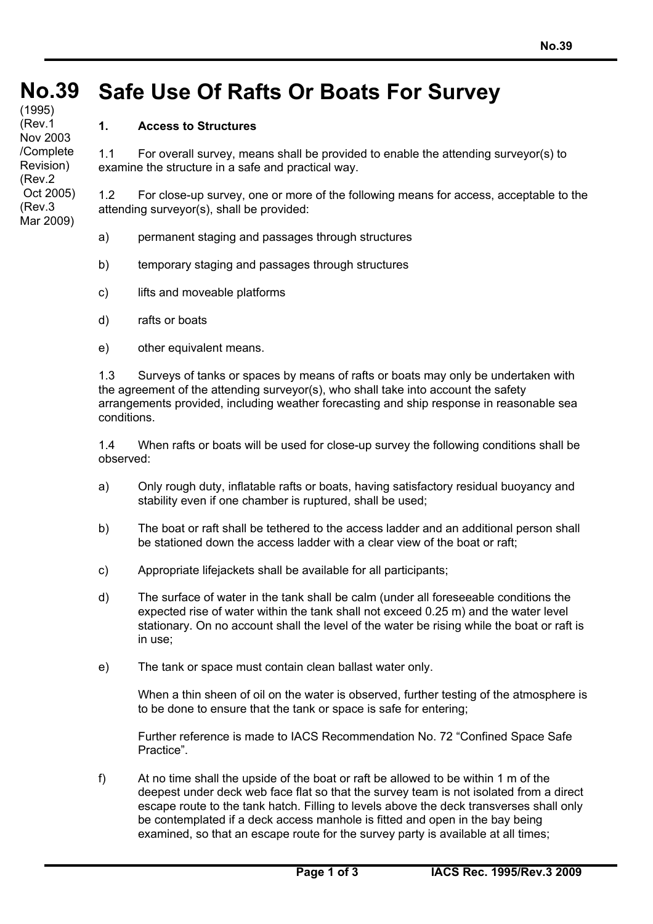## **No. No.39 Safe Use Of Rafts Or Boats For Survey** (1995)

## **1. Access to Structures**

**39** (Rev.1 **(**con't) Nov 2003

/Complete Revision)

 Oct 2005) (Rev.3 Mar 2009)

(Rev.2

1.1 For overall survey, means shall be provided to enable the attending surveyor(s) to examine the structure in a safe and practical way.

1.2 For close-up survey, one or more of the following means for access, acceptable to the attending surveyor(s), shall be provided:

- a) permanent staging and passages through structures
- b) temporary staging and passages through structures
- c) lifts and moveable platforms
- d) rafts or boats
- e) other equivalent means.

1.3 Surveys of tanks or spaces by means of rafts or boats may only be undertaken with the agreement of the attending surveyor(s), who shall take into account the safety arrangements provided, including weather forecasting and ship response in reasonable sea conditions.

1.4 When rafts or boats will be used for close-up survey the following conditions shall be observed:

- a) Only rough duty, inflatable rafts or boats, having satisfactory residual buoyancy and stability even if one chamber is ruptured, shall be used;
- b) The boat or raft shall be tethered to the access ladder and an additional person shall be stationed down the access ladder with a clear view of the boat or raft;
- c) Appropriate lifejackets shall be available for all participants;
- d) The surface of water in the tank shall be calm (under all foreseeable conditions the expected rise of water within the tank shall not exceed 0.25 m) and the water level stationary. On no account shall the level of the water be rising while the boat or raft is in use;
- e) The tank or space must contain clean ballast water only.

When a thin sheen of oil on the water is observed, further testing of the atmosphere is to be done to ensure that the tank or space is safe for entering;

Further reference is made to IACS Recommendation No. 72 "Confined Space Safe Practice".

f) At no time shall the upside of the boat or raft be allowed to be within 1 m of the deepest under deck web face flat so that the survey team is not isolated from a direct escape route to the tank hatch. Filling to levels above the deck transverses shall only be contemplated if a deck access manhole is fitted and open in the bay being examined, so that an escape route for the survey party is available at all times;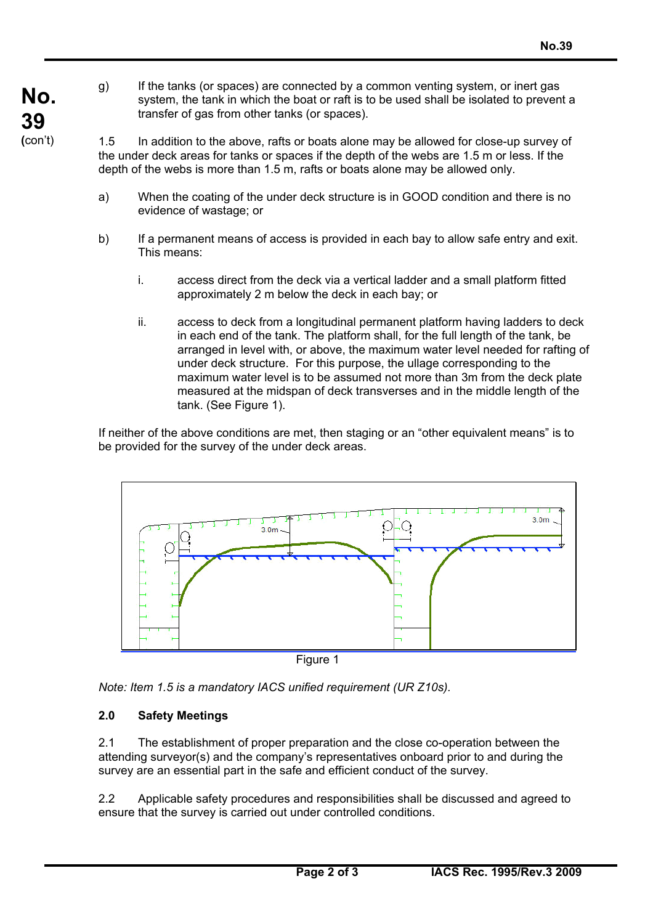- **No. 39 (**con't)
	- g) If the tanks (or spaces) are connected by a common venting system, or inert gas system, the tank in which the boat or raft is to be used shall be isolated to prevent a transfer of gas from other tanks (or spaces).

1.5 In addition to the above, rafts or boats alone may be allowed for close-up survey of the under deck areas for tanks or spaces if the depth of the webs are 1.5 m or less. If the depth of the webs is more than 1.5 m, rafts or boats alone may be allowed only.

- a) When the coating of the under deck structure is in GOOD condition and there is no evidence of wastage; or
- b) If a permanent means of access is provided in each bay to allow safe entry and exit. This means:
	- i. access direct from the deck via a vertical ladder and a small platform fitted approximately 2 m below the deck in each bay; or
	- ii. access to deck from a longitudinal permanent platform having ladders to deck in each end of the tank. The platform shall, for the full length of the tank, be arranged in level with, or above, the maximum water level needed for rafting of under deck structure. For this purpose, the ullage corresponding to the maximum water level is to be assumed not more than 3m from the deck plate measured at the midspan of deck transverses and in the middle length of the tank. (See Figure 1).

If neither of the above conditions are met, then staging or an "other equivalent means" is to be provided for the survey of the under deck areas.



Figure 1

*Note: Item 1.5 is a mandatory IACS unified requirement (UR Z10s).*

## **2.0 Safety Meetings**

2.1 The establishment of proper preparation and the close co-operation between the attending surveyor(s) and the company's representatives onboard prior to and during the survey are an essential part in the safe and efficient conduct of the survey.

2.2 Applicable safety procedures and responsibilities shall be discussed and agreed to ensure that the survey is carried out under controlled conditions.